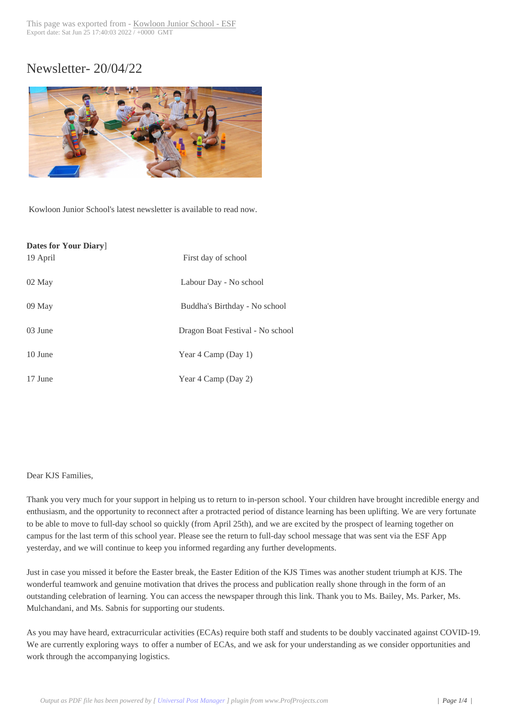# Newsletter- 20/04/[22](https://www.kjs.edu.hk/?p=26537)



Kowloon Junior School's latest newsletter is available to read now.

| <b>Dates for Your Diary</b> |                                  |
|-----------------------------|----------------------------------|
| 19 April                    | First day of school              |
| 02 May                      | Labour Day - No school           |
| 09 May                      | Buddha's Birthday - No school    |
| 03 June                     | Dragon Boat Festival - No school |
| 10 June                     | Year 4 Camp (Day 1)              |
| 17 June                     | Year 4 Camp (Day 2)              |

### Dear KJS Families,

Thank you very much for your support in helping us to return to in-person school. Your children have brought incredible energy and enthusiasm, and the opportunity to reconnect after a protracted period of distance learning has been uplifting. We are very fortunate to be able to move to full-day school so quickly (from April 25th), and we are excited by the prospect of learning together on campus for the last term of this school year. Please see the return to full-day school message that was sent via the ESF App yesterday, and we will continue to keep you informed regarding any further developments.

Just in case you missed it before the Easter break, the Easter Edition of the KJS Times was another student triumph at KJS. The wonderful teamwork and genuine motivation that drives the process and publication really shone through in the form of an outstanding celebration of learning. You can access the newspaper through this link. Thank you to Ms. Bailey, Ms. Parker, Ms. Mulchandani, and Ms. Sabnis for supporting our students.

As you may have heard, extracurricular activities (ECAs) require both staff and students to be doubly vaccinated against COVID-19. We are currently exploring ways to offer a number of ECAs, and we ask for your understanding as we consider opportunities and work through the accompanying logistics.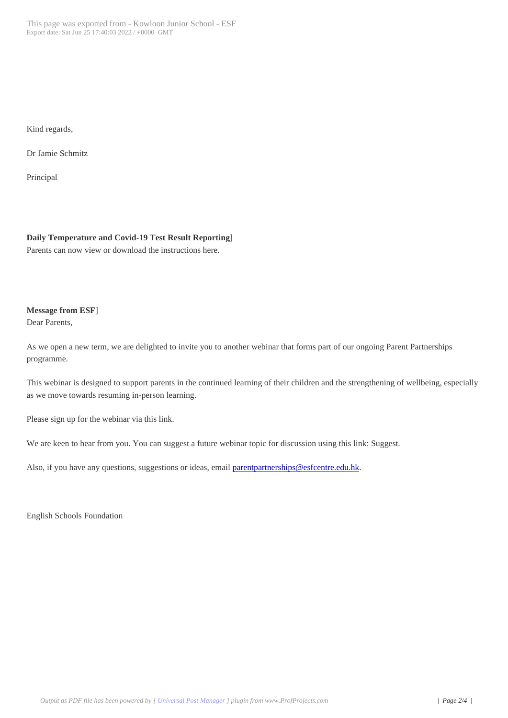Kind regards,

Dr Jamie Schmitz

Principal

### **Daily Temperature and Covid-19 Test Result Reporting**]

Parents can now view or download the instructions here.

## **Message from ESF**]

Dear Parents,

As we open a new term, we are delighted to invite you to another webinar that forms part of our ongoing Parent Partnerships programme.

This webinar is designed to support parents in the continued learning of their children and the strengthening of wellbeing, especially as we move towards resuming in-person learning.

Please sign up for the webinar via this link.

We are keen to hear from you. You can suggest a future webinar topic for discussion using this link: Suggest.

Also, if you have any questions, suggestions or ideas, email parentpartnerships@esfcentre.edu.hk.

English Schools Foundation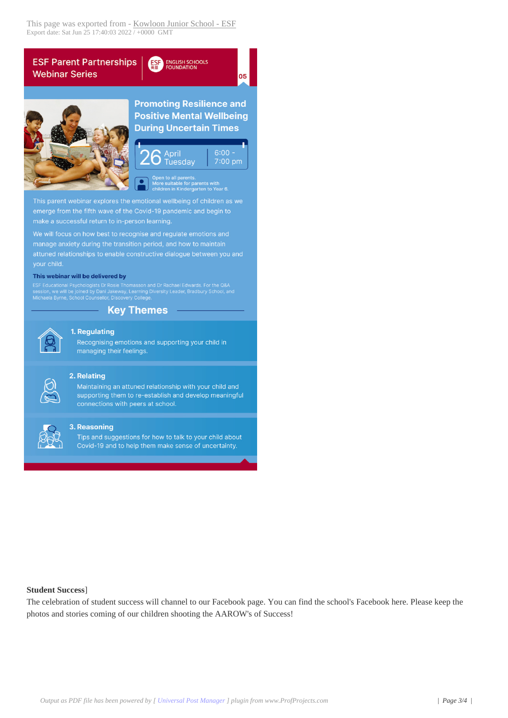



**Promoting Resilience and Positive Mental Wellbeing During Uncertain Times** 

05



uitable for parents with<br>n in Kindergarten to Year 6.

This parent webinar explores the emotional wellbeing of children as we emerge from the fifth wave of the Covid-19 pandemic and begin to make a successful return to in-person learning.

We will focus on how best to recognise and regulate emotions and manage anxiety during the transition period, and how to maintain attuned relationships to enable constructive dialogue between you and

#### This webinar will be delivered by

e Thomasson and Dr Rachael Edwards. For the Q&A<br>way, Learning Diversity Leader, Bradbury School, and<br>covery College.

## **Key Themes**



## 1. Regulating

Recognising emotions and supporting your child in managing their feelings.



### 2. Relating

Maintaining an attuned relationship with your child and supporting them to re-establish and develop meaningful connections with peers at school.



### 3. Reasoning

Tips and suggestions for how to talk to your child about Covid-19 and to help them make sense of uncertainty.

### **Student Success]**

The celebration of student success will channel to our Facebook page. You can find the school's Facebook here. Please keep the photos and stories coming of our children shooting the AAROW's of Success!